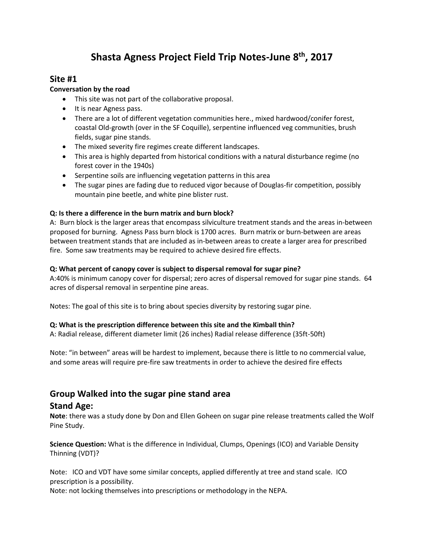# **Shasta Agness Project Field Trip Notes-June 8th, 2017**

# **Site #1**

# **Conversation by the road**

- This site was not part of the collaborative proposal.
- It is near Agness pass.
- There are a lot of different vegetation communities here., mixed hardwood/conifer forest, coastal Old-growth (over in the SF Coquille), serpentine influenced veg communities, brush fields, sugar pine stands.
- The mixed severity fire regimes create different landscapes.
- This area is highly departed from historical conditions with a natural disturbance regime (no forest cover in the 1940s)
- Serpentine soils are influencing vegetation patterns in this area
- The sugar pines are fading due to reduced vigor because of Douglas-fir competition, possibly mountain pine beetle, and white pine blister rust.

# **Q: Is there a difference in the burn matrix and burn block?**

A: Burn block is the larger areas that encompass silviculture treatment stands and the areas in-between proposed for burning. Agness Pass burn block is 1700 acres. Burn matrix or burn-between are areas between treatment stands that are included as in-between areas to create a larger area for prescribed fire. Some saw treatments may be required to achieve desired fire effects.

# **Q: What percent of canopy cover is subject to dispersal removal for sugar pine?**

A:40% is minimum canopy cover for dispersal; zero acres of dispersal removed for sugar pine stands. 64 acres of dispersal removal in serpentine pine areas.

Notes: The goal of this site is to bring about species diversity by restoring sugar pine.

# **Q: What is the prescription difference between this site and the Kimball thin?**

A: Radial release, different diameter limit (26 inches) Radial release difference (35ft-50ft)

Note: "in between" areas will be hardest to implement, because there is little to no commercial value, and some areas will require pre-fire saw treatments in order to achieve the desired fire effects

# **Group Walked into the sugar pine stand area**

# **Stand Age:**

**Note**: there was a study done by Don and Ellen Goheen on sugar pine release treatments called the Wolf Pine Study.

**Science Question:** What is the difference in Individual, Clumps, Openings (ICO) and Variable Density Thinning (VDT)?

Note: ICO and VDT have some similar concepts, applied differently at tree and stand scale. ICO prescription is a possibility.

Note: not locking themselves into prescriptions or methodology in the NEPA.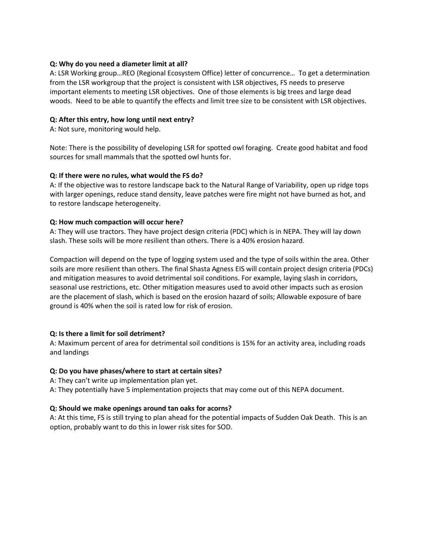#### **Q: Why do you need a diameter limit at all?**

A: LSR Working group…REO (Regional Ecosystem Office) letter of concurrence… To get a determination from the LSR workgroup that the project is consistent with LSR objectives, FS needs to preserve important elements to meeting LSR objectives. One of those elements is big trees and large dead woods. Need to be able to quantify the effects and limit tree size to be consistent with LSR objectives.

## **Q: After this entry, how long until next entry?**

A: Not sure, monitoring would help.

Note: There is the possibility of developing LSR for spotted owl foraging. Create good habitat and food sources for small mammals that the spotted owl hunts for.

## **Q: If there were no rules, what would the FS do?**

A: If the objective was to restore landscape back to the Natural Range of Variability, open up ridge tops with larger openings, reduce stand density, leave patches were fire might not have burned as hot, and to restore landscape heterogeneity.

## **Q: How much compaction will occur here?**

A: They will use tractors. They have project design criteria (PDC) which is in NEPA. They will lay down slash. These soils will be more resilient than others. There is a 40% erosion hazard.

Compaction will depend on the type of logging system used and the type of soils within the area. Other soils are more resilient than others. The final Shasta Agness EIS will contain project design criteria (PDCs) and mitigation measures to avoid detrimental soil conditions. For example, laying slash in corridors, seasonal use restrictions, etc. Other mitigation measures used to avoid other impacts such as erosion are the placement of slash, which is based on the erosion hazard of soils; Allowable exposure of bare ground is 40% when the soil is rated low for risk of erosion.

#### **Q: Is there a limit for soil detriment?**

A: Maximum percent of area for detrimental soil conditions is 15% for an activity area, including roads and landings

#### **Q: Do you have phases/where to start at certain sites?**

- A: They can't write up implementation plan yet.
- A: They potentially have 5 implementation projects that may come out of this NEPA document.

#### **Q: Should we make openings around tan oaks for acorns?**

A: At this time, FS is still trying to plan ahead for the potential impacts of Sudden Oak Death. This is an option, probably want to do this in lower risk sites for SOD.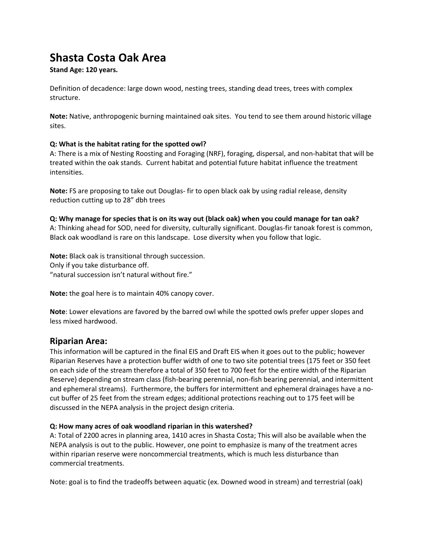# **Shasta Costa Oak Area**

# **Stand Age: 120 years.**

Definition of decadence: large down wood, nesting trees, standing dead trees, trees with complex structure.

**Note:** Native, anthropogenic burning maintained oak sites. You tend to see them around historic village sites.

## **Q: What is the habitat rating for the spotted owl?**

A: There is a mix of Nesting Roosting and Foraging (NRF), foraging, dispersal, and non-habitat that will be treated within the oak stands. Current habitat and potential future habitat influence the treatment intensities.

**Note:** FS are proposing to take out Douglas- fir to open black oak by using radial release, density reduction cutting up to 28" dbh trees

**Q: Why manage for species that is on its way out (black oak) when you could manage for tan oak?**  A: Thinking ahead for SOD, need for diversity, culturally significant. Douglas-fir tanoak forest is common, Black oak woodland is rare on this landscape. Lose diversity when you follow that logic.

**Note:** Black oak is transitional through succession. Only if you take disturbance off. "natural succession isn't natural without fire."

**Note:** the goal here is to maintain 40% canopy cover.

**Note**: Lower elevations are favored by the barred owl while the spotted owls prefer upper slopes and less mixed hardwood.

# **Riparian Area:**

This information will be captured in the final EIS and Draft EIS when it goes out to the public; however Riparian Reserves have a protection buffer width of one to two site potential trees (175 feet or 350 feet on each side of the stream therefore a total of 350 feet to 700 feet for the entire width of the Riparian Reserve) depending on stream class (fish-bearing perennial, non-fish bearing perennial, and intermittent and ephemeral streams). Furthermore, the buffers for intermittent and ephemeral drainages have a nocut buffer of 25 feet from the stream edges; additional protections reaching out to 175 feet will be discussed in the NEPA analysis in the project design criteria.

#### **Q: How many acres of oak woodland riparian in this watershed?**

A: Total of 2200 acres in planning area, 1410 acres in Shasta Costa; This will also be available when the NEPA analysis is out to the public. However, one point to emphasize is many of the treatment acres within riparian reserve were noncommercial treatments, which is much less disturbance than commercial treatments.

Note: goal is to find the tradeoffs between aquatic (ex. Downed wood in stream) and terrestrial (oak)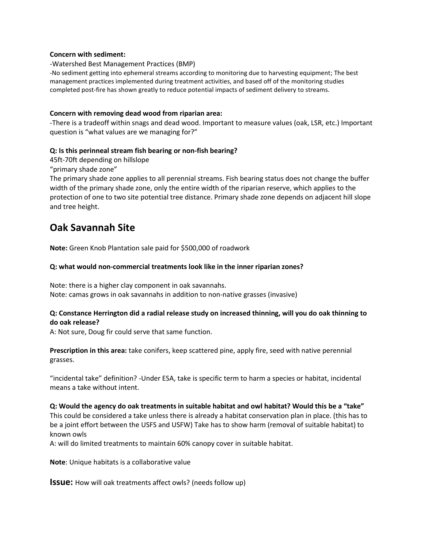#### **Concern with sediment:**

-Watershed Best Management Practices (BMP)

-No sediment getting into ephemeral streams according to monitoring due to harvesting equipment; The best management practices implemented during treatment activities, and based off of the monitoring studies completed post-fire has shown greatly to reduce potential impacts of sediment delivery to streams.

#### **Concern with removing dead wood from riparian area:**

-There is a tradeoff within snags and dead wood. Important to measure values (oak, LSR, etc.) Important question is "what values are we managing for?"

#### **Q: Is this perinneal stream fish bearing or non-fish bearing?**

45ft-70ft depending on hillslope

"primary shade zone"

The primary shade zone applies to all perennial streams. Fish bearing status does not change the buffer width of the primary shade zone, only the entire width of the riparian reserve, which applies to the protection of one to two site potential tree distance. Primary shade zone depends on adjacent hill slope and tree height.

# **Oak Savannah Site**

**Note:** Green Knob Plantation sale paid for \$500,000 of roadwork

#### **Q: what would non-commercial treatments look like in the inner riparian zones?**

Note: there is a higher clay component in oak savannahs. Note: camas grows in oak savannahs in addition to non-native grasses (invasive)

#### **Q: Constance Herrington did a radial release study on increased thinning, will you do oak thinning to do oak release?**

A: Not sure, Doug fir could serve that same function.

**Prescription in this area:** take conifers, keep scattered pine, apply fire, seed with native perennial grasses.

"incidental take" definition? -Under ESA, take is specific term to harm a species or habitat, incidental means a take without intent.

**Q: Would the agency do oak treatments in suitable habitat and owl habitat? Would this be a "take"** This could be considered a take unless there is already a habitat conservation plan in place. (this has to be a joint effort between the USFS and USFW) Take has to show harm (removal of suitable habitat) to known owls

A: will do limited treatments to maintain 60% canopy cover in suitable habitat.

**Note**: Unique habitats is a collaborative value

**Issue:** How will oak treatments affect owls? (needs follow up)